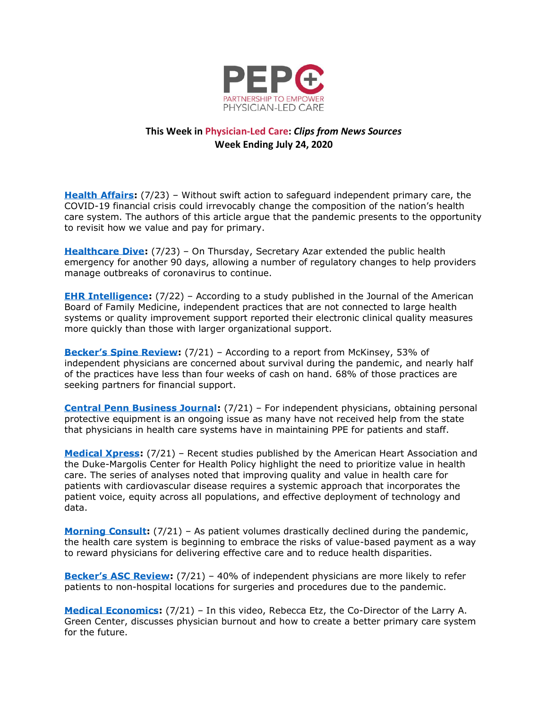

## **This Week in Physician-Led Care:** *Clips from News Sources* **Week Ending July 24, 2020**

**[Health Affairs:](https://www.healthaffairs.org/do/10.1377/hblog20200721.6981/full/)** (7/23) – Without swift action to safeguard independent primary care, the COVID-19 financial crisis could irrevocably change the composition of the nation's health care system. The authors of this article argue that the pandemic presents to the opportunity to revisit how we value and pay for primary.

**[Healthcare Dive:](https://www.healthcaredive.com/news/covid-19-public-health-emergency-extended/582213/)** (7/23) – On Thursday, Secretary Azar extended the public health emergency for another 90 days, allowing a number of regulatory changes to help providers manage outbreaks of coronavirus to continue.

**[EHR Intelligence:](https://ehrintelligence.com/news/do-independent-practices-report-clinical-quality-measures-faster)** (7/22) – According to a study published in the Journal of the American Board of Family Medicine, independent practices that are not connected to large health systems or quality improvement support reported their electronic clinical quality measures more quickly than those with larger organizational support.

**[Becker's Spine Review](https://www.beckersspine.com/orthopedic-spine-practices-improving-profits/item/49612-53-of-independent-physicians-concerned-about-survival-during-pandemic-4-other-trends.html):** (7/21) – According to a report from McKinsey, 53% of independent physicians are concerned about survival during the pandemic, and nearly half of the practices have less than four weeks of cash on hand. 68% of those practices are seeking partners for financial support.

**[Central Penn Business Journal:](https://www.cpbj.com/independent-physicians-obtaining-ppe-ongoing-struggle/)** (7/21) – For independent physicians, obtaining personal protective equipment is an ongoing issue as many have not received help from the state that physicians in health care systems have in maintaining PPE for patients and staff.

**[Medical Xpress:](https://medicalxpress.com/news/2020-07-highlight-prioritize-health.html)** (7/21) – Recent studies published by the American Heart Association and the Duke-Margolis Center for Health Policy highlight the need to prioritize value in health care. The series of analyses noted that improving quality and value in health care for patients with cardiovascular disease requires a systemic approach that incorporates the patient voice, equity across all populations, and effective deployment of technology and data.

**[Morning Consult:](https://morningconsult.com/opinions/the-promise-of-value-based-health-care-in-a-pandemic/)** (7/21) – As patient volumes drastically declined during the pandemic, the health care system is beginning to embrace the risks of value-based payment as a way to reward physicians for delivering effective care and to reduce health disparities.

**[Becker's ASC Review](https://www.beckersasc.com/asc-news/40-of-independent-physicians-more-likely-to-refer-to-non-hospital-locations-for-surgery-due-to-pandemic.html):** (7/21) – 40% of independent physicians are more likely to refer patients to non-hospital locations for surgeries and procedures due to the pandemic.

**[Medical Economics:](https://www.medicaleconomics.com/view/coronavirus-case-numbers-in-the-united-states-july-24-update)** (7/21) – In this video, Rebecca Etz, the Co-Director of the Larry A. Green Center, discusses physician burnout and how to create a better primary care system for the future.